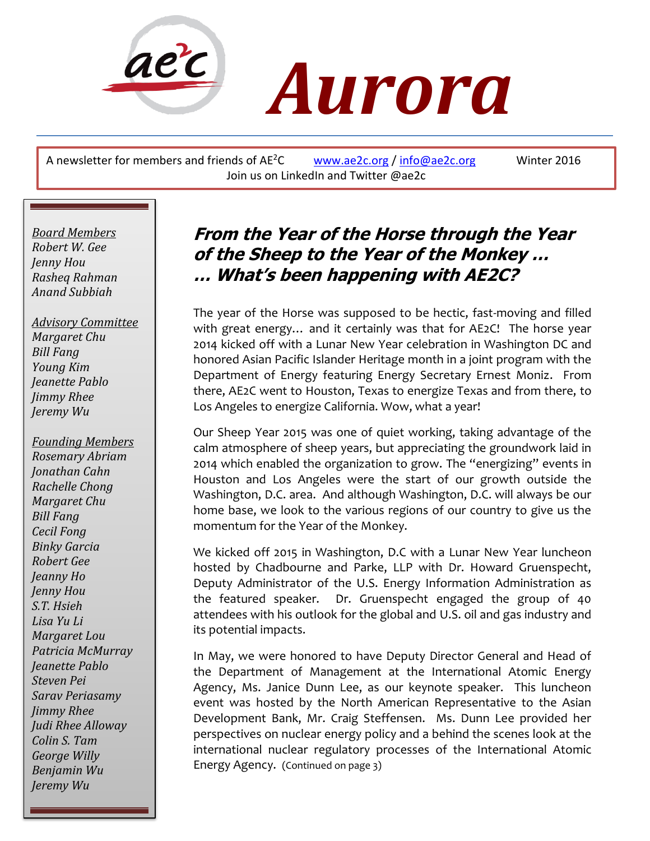

# *Aurora*

A newsletter for members and friends of  $AE^2C$  [www.ae2c.org](http://www.ae2c.org/) / [info@ae2c.org](mailto:info@ae2c.org) Winter 2016 Join us on LinkedIn and Twitter @ae2c

*Board Members Robert W. Gee Jenny Hou Rasheq Rahman Anand Subbiah*

 *Advisory Committee Margaret Chu Bill Fang Young Kim Jeanette Pablo Jimmy Rhee Jeremy Wu*

 *Margaret Lou Sarav Periasamy Founding Members Rosemary Abriam Jonathan Cahn Rachelle Chong Margaret Chu Bill Fang Cecil Fong Binky Garcia Robert Gee Jeanny Ho Jenny Hou S.T. Hsieh Lisa Yu Li Patricia McMurray Jeanette Pablo Steven Pei Jimmy Rhee Judi Rhee Alloway Colin S. Tam George Willy Benjamin Wu Jeremy Wu*

## **From the Year of the Horse through the Year of the Sheep to the Year of the Monkey … … What's been happening with AE2C?**

The year of the Horse was supposed to be hectic, fast-moving and filled with great energy… and it certainly was that for AE2C! The horse year 2014 kicked off with a Lunar New Year celebration in Washington DC and honored Asian Pacific Islander Heritage month in a joint program with the Department of Energy featuring Energy Secretary Ernest Moniz. From there, AE2C went to Houston, Texas to energize Texas and from there, to Los Angeles to energize California. Wow, what a year!

Our Sheep Year 2015 was one of quiet working, taking advantage of the calm atmosphere of sheep years, but appreciating the groundwork laid in 2014 which enabled the organization to grow. The "energizing" events in Houston and Los Angeles were the start of our growth outside the Washington, D.C. area. And although Washington, D.C. will always be our home base, we look to the various regions of our country to give us the momentum for the Year of the Monkey.

We kicked off 2015 in Washington, D.C with a Lunar New Year luncheon hosted by Chadbourne and Parke, LLP with Dr. Howard Gruenspecht, Deputy Administrator of the U.S. Energy Information Administration as the featured speaker. Dr. Gruenspecht engaged the group of 40 attendees with his outlook for the global and U.S. oil and gas industry and its potential impacts.

In May, we were honored to have Deputy Director General and Head of the Department of Management at the International Atomic Energy Agency, Ms. Janice Dunn Lee, as our keynote speaker. This luncheon event was hosted by the North American Representative to the Asian Development Bank, Mr. Craig Steffensen. Ms. Dunn Lee provided her perspectives on nuclear energy policy and a behind the scenes look at the international nuclear regulatory processes of the International Atomic Energy Agency. (Continued on page 3)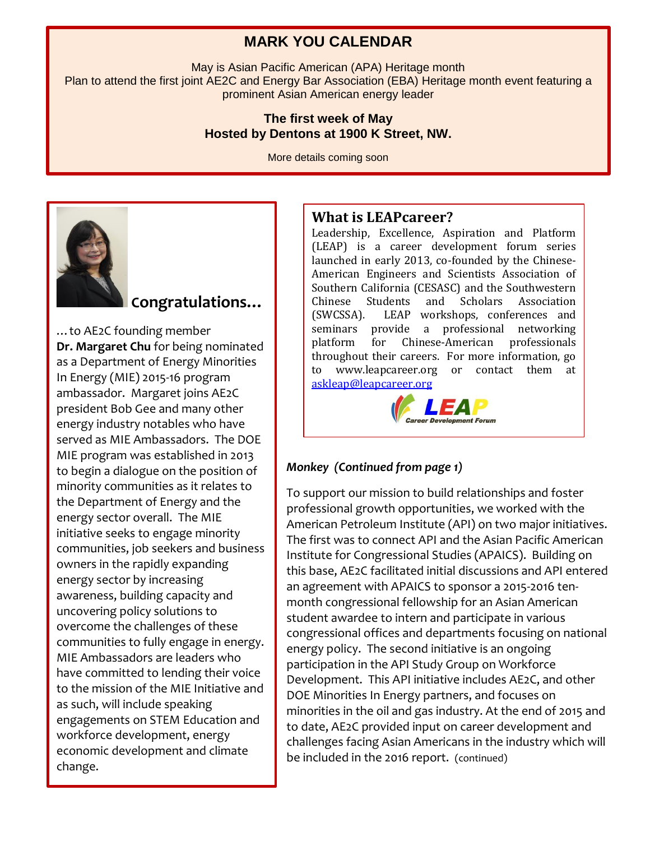#### **MARK YOU CALENDAR**

May is Asian Pacific American (APA) Heritage month Plan to attend the first joint AE2C and Energy Bar Association (EBA) Heritage month event featuring a prominent Asian American energy leader

#### **The first week of May Hosted by Dentons at 1900 K Street, NW.**

More details coming soon



### **Congratulations…**

…to AE2C founding member **Dr. Margaret Chu** for being nominated as a Department of Energy Minorities In Energy (MIE) 2015-16 program ambassador. Margaret joins AE2C president Bob Gee and many other energy industry notables who have served as MIE Ambassadors. The DOE MIE program was established in 2013 to begin a dialogue on the position of minority communities as it relates to the Department of Energy and the energy sector overall. The MIE initiative seeks to engage minority communities, job seekers and business owners in the rapidly expanding energy sector by increasing awareness, building capacity and uncovering policy solutions to overcome the challenges of these communities to fully engage in energy. MIE Ambassadors are leaders who have committed to lending their voice to the mission of the MIE Initiative and as such, will include speaking engagements on STEM Education and workforce development, energy economic development and climate change.

#### **What is LEAPcareer?**

Leadership, Excellence, Aspiration and Platform (LEAP) is a career development forum series launched in early 2013, co-founded by the Chinese-American Engineers and Scientists Association of Southern California (CESASC) and the Southwestern Chinese Students and Scholars Association (SWCSSA). LEAP workshops, conferences and seminars provide a professional networking platform for Chinese-American professionals throughout their careers. For more information, go to www.leapcareer.org or contact them at [askleap@leapcareer.org](mailto:askleap@leapcareer.org)



#### *Monkey (Continued from page 1)*

To support our mission to build relationships and foster professional growth opportunities, we worked with the American Petroleum Institute (API) on two major initiatives. The first was to connect API and the Asian Pacific American Institute for Congressional Studies (APAICS). Building on this base, AE2C facilitated initial discussions and API entered an agreement with APAICS to sponsor a 2015-2016 tenmonth congressional fellowship for an Asian American student awardee to intern and participate in various congressional offices and departments focusing on national energy policy. The second initiative is an ongoing participation in the API Study Group on Workforce Development. This API initiative includes AE2C, and other DOE Minorities In Energy partners, and focuses on minorities in the oil and gas industry. At the end of 2015 and to date, AE2C provided input on career development and challenges facing Asian Americans in the industry which will be included in the 2016 report. (continued)